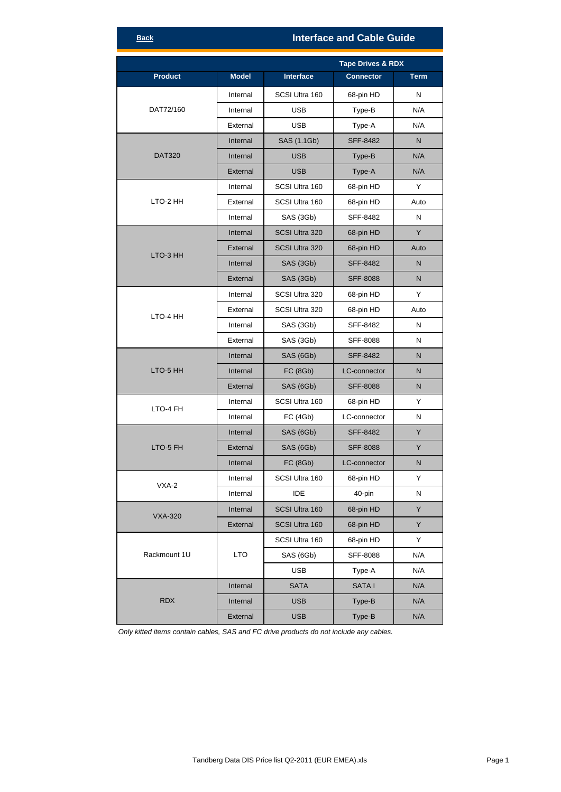## **Interface and Cable Guide**

|                |              | <b>Tape Drives &amp; RDX</b> |                  |             |
|----------------|--------------|------------------------------|------------------|-------------|
| <b>Product</b> | <b>Model</b> | <b>Interface</b>             | <b>Connector</b> | <b>Term</b> |
| DAT72/160      | Internal     | SCSI Ultra 160               | 68-pin HD        | N           |
|                | Internal     | <b>USB</b>                   | Type-B           | N/A         |
|                | External     | <b>USB</b>                   | Type-A           | N/A         |
| <b>DAT320</b>  | Internal     | SAS (1.1Gb)                  | <b>SFF-8482</b>  | N           |
|                | Internal     | <b>USB</b>                   | Type-B           | N/A         |
|                | External     | <b>USB</b>                   | Type-A           | N/A         |
|                | Internal     | SCSI Ultra 160               | 68-pin HD        | Y           |
| LTO-2 HH       | External     | SCSI Ultra 160               | 68-pin HD        | Auto        |
|                | Internal     | SAS (3Gb)                    | SFF-8482         | N           |
|                | Internal     | SCSI Ultra 320               | 68-pin HD        | Y           |
|                | External     | SCSI Ultra 320               | 68-pin HD        | Auto        |
| LTO-3 HH       | Internal     | SAS (3Gb)                    | <b>SFF-8482</b>  | N           |
|                | External     | SAS (3Gb)                    | <b>SFF-8088</b>  | N           |
|                | Internal     | SCSI Ultra 320               | 68-pin HD        | Υ           |
|                | External     | SCSI Ultra 320               | 68-pin HD        | Auto        |
| LTO-4 HH       | Internal     | SAS (3Gb)                    | SFF-8482         | N           |
|                | External     | SAS (3Gb)                    | <b>SFF-8088</b>  | N           |
|                | Internal     | SAS (6Gb)                    | <b>SFF-8482</b>  | N           |
| LTO-5 HH       | Internal     | <b>FC (8Gb)</b>              | LC-connector     | N           |
|                | External     | SAS (6Gb)                    | <b>SFF-8088</b>  | N           |
|                | Internal     | SCSI Ultra 160               | 68-pin HD        | Y           |
| LTO-4 FH       | Internal     | <b>FC (4Gb)</b>              | LC-connector     | N           |
| LTO-5 FH       | Internal     | SAS (6Gb)                    | <b>SFF-8482</b>  | Y           |
|                | External     | SAS (6Gb)                    | <b>SFF-8088</b>  | Y           |
|                | Internal     | <b>FC (8Gb)</b>              | LC-connector     | N           |
| VXA-2          | Internal     | SCSI Ultra 160               | 68-pin HD        | Y           |
|                | Internal     | IDE                          | 40-pin           | Ν           |
| <b>VXA-320</b> | Internal     | SCSI Ultra 160               | 68-pin HD        | Y           |
|                | External     | SCSI Ultra 160               | 68-pin HD        | Y           |
|                |              | SCSI Ultra 160               | 68-pin HD        | Y           |
| Rackmount 1U   | <b>LTO</b>   | SAS (6Gb)                    | SFF-8088         | N/A         |
|                |              | <b>USB</b>                   | Type-A           | N/A         |
| <b>RDX</b>     | Internal     | <b>SATA</b>                  | <b>SATAI</b>     | N/A         |
|                | Internal     | <b>USB</b>                   | Type-B           | N/A         |
|                | External     | <b>USB</b>                   | Type-B           | N/A         |

*Only kitted items contain cables, SAS and FC drive products do not include any cables.*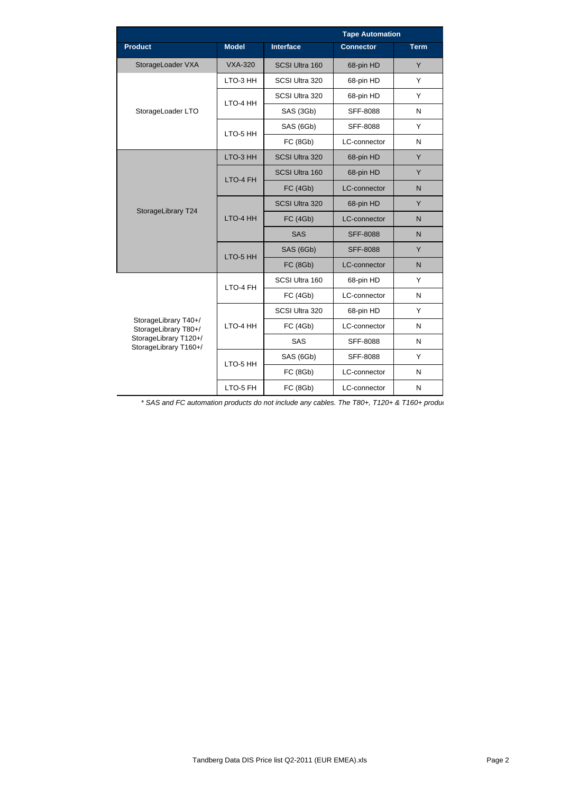|                                                                                                |                | <b>Tape Automation</b> |                     |             |
|------------------------------------------------------------------------------------------------|----------------|------------------------|---------------------|-------------|
| <b>Product</b>                                                                                 | <b>Model</b>   | <b>Interface</b>       | <b>Connector</b>    | <b>Term</b> |
| StorageLoader VXA                                                                              | <b>VXA-320</b> | SCSI Ultra 160         | 68-pin HD           | Y           |
| StorageLoader LTO                                                                              | LTO-3 HH       | SCSI Ultra 320         | 68-pin HD           | Y           |
|                                                                                                | LTO-4 HH       | SCSI Ultra 320         | 68-pin HD           | Y           |
|                                                                                                |                | SAS (3Gb)              | SFF-8088            | N           |
|                                                                                                | LTO-5 HH       | SAS (6Gb)              | <b>SFF-8088</b>     | Y           |
|                                                                                                |                | <b>FC (8Gb)</b>        | LC-connector        | N           |
| StorageLibrary T24                                                                             | LTO-3 HH       | SCSI Ultra 320         | 68-pin HD           | Y           |
|                                                                                                | LTO-4 FH       | SCSI Ultra 160         | 68-pin HD           | Y           |
|                                                                                                |                | <b>FC (4Gb)</b>        | LC-connector        | N           |
|                                                                                                | LTO-4 HH       | SCSI Ultra 320         | 68-pin HD           | Y           |
|                                                                                                |                | <b>FC (4Gb)</b>        | LC-connector        | N           |
|                                                                                                |                | <b>SAS</b>             | <b>SFF-8088</b>     | N           |
|                                                                                                | LTO-5 HH       | SAS (6Gb)              | <b>SFF-8088</b>     | Y           |
|                                                                                                |                | <b>FC (8Gb)</b>        | <b>LC-connector</b> | N           |
| StorageLibrary T40+/<br>StorageLibrary T80+/<br>StorageLibrary T120+/<br>StorageLibrary T160+/ | LTO-4 FH       | SCSI Ultra 160         | 68-pin HD           | Y           |
|                                                                                                |                | <b>FC (4Gb)</b>        | LC-connector        | N           |
|                                                                                                | I TO-4 HH      | SCSI Ultra 320         | 68-pin HD           | Y           |
|                                                                                                |                | <b>FC (4Gb)</b>        | LC-connector        | N           |
|                                                                                                |                | SAS                    | SFF-8088            | N           |
|                                                                                                | LTO-5 HH       | SAS (6Gb)              | SFF-8088            | Y           |
|                                                                                                |                | <b>FC (8Gb)</b>        | LC-connector        | N           |
|                                                                                                | LTO-5 FH       | <b>FC (8Gb)</b>        | LC-connector        | N           |

*\* SAS and FC automation products do not include any cables. The T80+, T120+ & T160+ produc*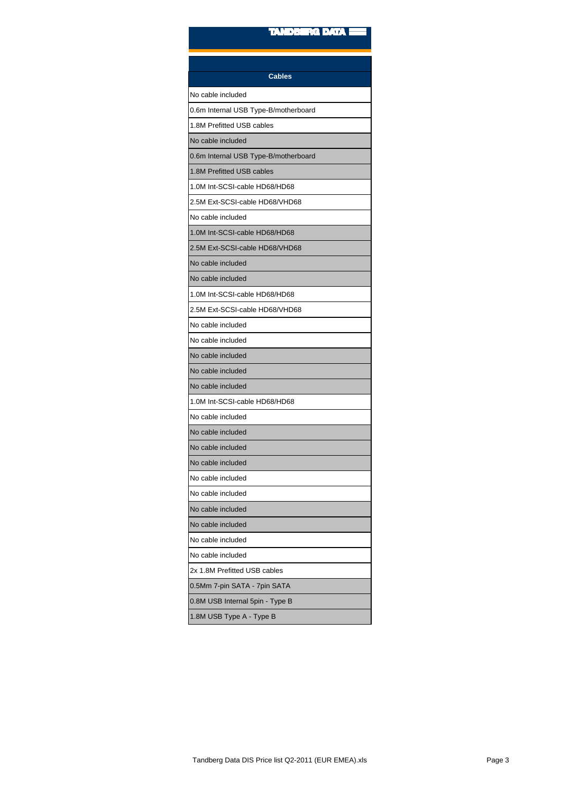| <b>Cables</b>                        |
|--------------------------------------|
|                                      |
| No cable included                    |
| 0.6m Internal USB Type-B/motherboard |
| 1.8M Prefitted USB cables            |
| No cable included                    |
| 0.6m Internal USB Type-B/motherboard |
| 1.8M Prefitted USB cables            |
| 1.0M Int-SCSI-cable HD68/HD68        |
| 2.5M Ext-SCSI-cable HD68/VHD68       |
| No cable included                    |
| 1.0M Int-SCSI-cable HD68/HD68        |
| 2.5M Ext-SCSI-cable HD68/VHD68       |
| No cable included                    |
| No cable included                    |
| 1.0M Int-SCSI-cable HD68/HD68        |
| 2.5M Ext-SCSI-cable HD68/VHD68       |
| No cable included                    |
| No cable included                    |
| No cable included                    |
| No cable included                    |
| No cable included                    |
| 1.0M Int-SCSI-cable HD68/HD68        |
| No cable included                    |
| No cable included                    |
| No cable included                    |
| No cable included                    |
| No cable included                    |
| No cable included                    |
| No cable included                    |
| No cable included                    |
| No cable included                    |
| No cable included                    |
| 2x 1.8M Prefitted USB cables         |
| 0.5Mm 7-pin SATA - 7pin SATA         |
| 0.8M USB Internal 5pin - Type B      |
| 1.8M USB Type A - Type B             |